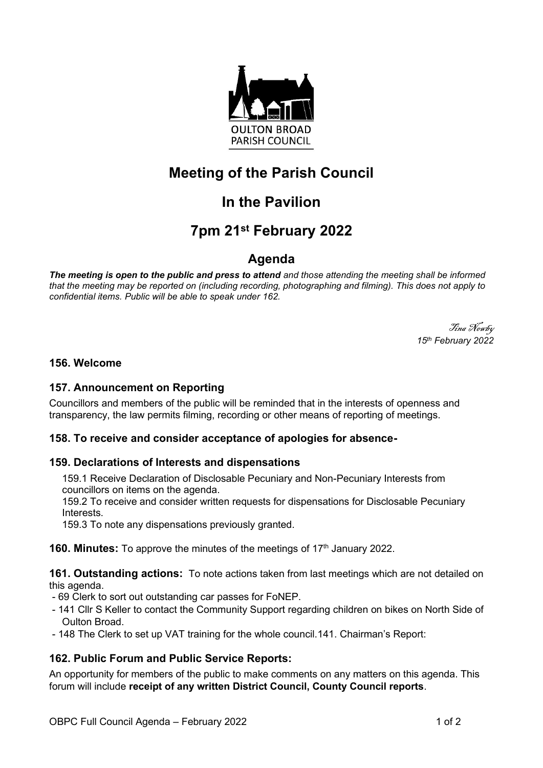

# **Meeting of the Parish Council**

# **In the Pavilion**

# **7pm 21 st February 2022**

### **Agenda**

*The meeting is open to the public and press to attend and those attending the meeting shall be informed that the meeting may be reported on (including recording, photographing and filming). This does not apply to confidential items. Public will be able to speak under 162.*

> Tina Newby *15 th February 2022*

#### **156. Welcome**

#### **157. Announcement on Reporting**

Councillors and members of the public will be reminded that in the interests of openness and transparency, the law permits filming, recording or other means of reporting of meetings.

### **158. To receive and consider acceptance of apologies for absence-**

#### **159. Declarations of Interests and dispensations**

159.1 Receive Declaration of Disclosable Pecuniary and Non-Pecuniary Interests from councillors on items on the agenda.

159.2 To receive and consider written requests for dispensations for Disclosable Pecuniary **Interests** 

159.3 To note any dispensations previously granted.

**160. Minutes:** To approve the minutes of the meetings of 17<sup>th</sup> January 2022.

**161. Outstanding actions:** To note actions taken from last meetings which are not detailed on this agenda.

- 69 Clerk to sort out outstanding car passes for FoNEP.
- 141 Cllr S Keller to contact the Community Support regarding children on bikes on North Side of Oulton Broad.
- 148 The Clerk to set up VAT training for the whole council.141. Chairman's Report:

### **162. Public Forum and Public Service Reports:**

An opportunity for members of the public to make comments on any matters on this agenda. This forum will include **receipt of any written District Council, County Council reports**.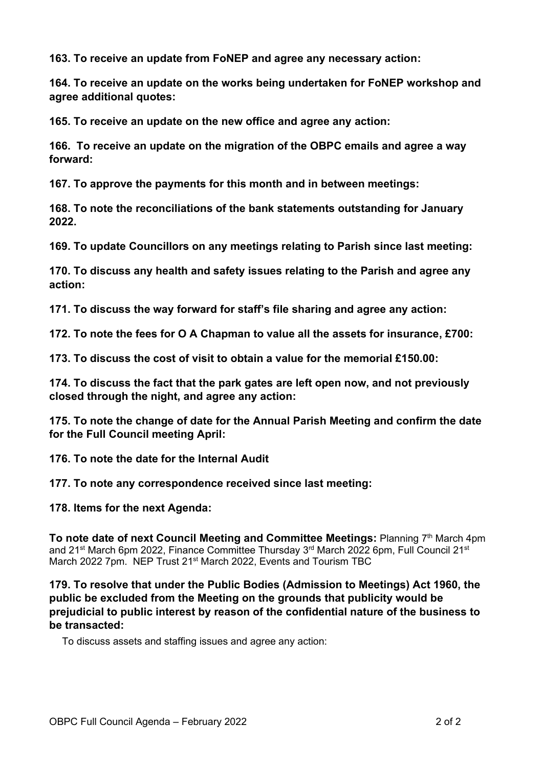**163. To receive an update from FoNEP and agree any necessary action:**

**164. To receive an update on the works being undertaken for FoNEP workshop and agree additional quotes:**

**165. To receive an update on the new office and agree any action:**

**166. To receive an update on the migration of the OBPC emails and agree a way forward:**

**167. To approve the payments for this month and in between meetings:**

**168. To note the reconciliations of the bank statements outstanding for January 2022.**

**169. To update Councillors on any meetings relating to Parish since last meeting:**

**170. To discuss any health and safety issues relating to the Parish and agree any action:**

**171. To discuss the way forward for staff's file sharing and agree any action:**

**172. To note the fees for O A Chapman to value all the assets for insurance, £700:**

**173. To discuss the cost of visit to obtain a value for the memorial £150.00:**

**174. To discuss the fact that the park gates are left open now, and not previously closed through the night, and agree any action:**

**175. To note the change of date for the Annual Parish Meeting and confirm the date for the Full Council meeting April:**

**176. To note the date for the Internal Audit**

**177. To note any correspondence received since last meeting:**

**178. Items for the next Agenda:**

**To note date of next Council Meeting and Committee Meetings: Planning 7th March 4pm** and 21<sup>st</sup> March 6pm 2022, Finance Committee Thursday 3<sup>rd</sup> March 2022 6pm, Full Council 21<sup>st</sup> March 2022 7pm. NEP Trust 21<sup>st</sup> March 2022, Events and Tourism TBC

**179. To resolve that under the Public Bodies (Admission to Meetings) Act 1960, the public be excluded from the Meeting on the grounds that publicity would be prejudicial to public interest by reason of the confidential nature of the business to be transacted:**

To discuss assets and staffing issues and agree any action: